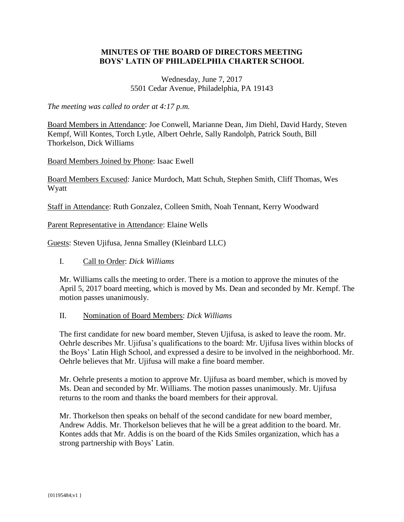### **MINUTES OF THE BOARD OF DIRECTORS MEETING BOYS' LATIN OF PHILADELPHIA CHARTER SCHOOL**

#### Wednesday, June 7, 2017 5501 Cedar Avenue, Philadelphia, PA 19143

*The meeting was called to order at 4:17 p.m.*

Board Members in Attendance: Joe Conwell, Marianne Dean, Jim Diehl, David Hardy, Steven Kempf, Will Kontes, Torch Lytle, Albert Oehrle, Sally Randolph, Patrick South, Bill Thorkelson, Dick Williams

Board Members Joined by Phone: Isaac Ewell

Board Members Excused: Janice Murdoch, Matt Schuh, Stephen Smith, Cliff Thomas, Wes Wyatt

Staff in Attendance: Ruth Gonzalez, Colleen Smith, Noah Tennant, Kerry Woodward

Parent Representative in Attendance: Elaine Wells

Guests: Steven Ujifusa, Jenna Smalley (Kleinbard LLC)

I. Call to Order: *Dick Williams*

Mr. Williams calls the meeting to order. There is a motion to approve the minutes of the April 5, 2017 board meeting, which is moved by Ms. Dean and seconded by Mr. Kempf. The motion passes unanimously.

#### II. Nomination of Board Members: *Dick Williams*

The first candidate for new board member, Steven Ujifusa, is asked to leave the room. Mr. Oehrle describes Mr. Ujifusa's qualifications to the board: Mr. Ujifusa lives within blocks of the Boys' Latin High School, and expressed a desire to be involved in the neighborhood. Mr. Oehrle believes that Mr. Ujifusa will make a fine board member.

Mr. Oehrle presents a motion to approve Mr. Ujifusa as board member, which is moved by Ms. Dean and seconded by Mr. Williams. The motion passes unanimously. Mr. Ujifusa returns to the room and thanks the board members for their approval.

Mr. Thorkelson then speaks on behalf of the second candidate for new board member, Andrew Addis. Mr. Thorkelson believes that he will be a great addition to the board. Mr. Kontes adds that Mr. Addis is on the board of the Kids Smiles organization, which has a strong partnership with Boys' Latin.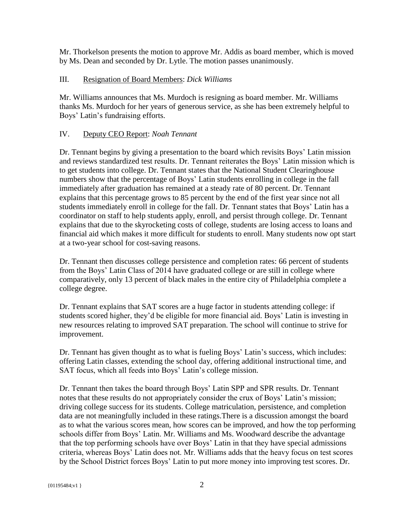Mr. Thorkelson presents the motion to approve Mr. Addis as board member, which is moved by Ms. Dean and seconded by Dr. Lytle. The motion passes unanimously.

## III. Resignation of Board Members: *Dick Williams*

Mr. Williams announces that Ms. Murdoch is resigning as board member. Mr. Williams thanks Ms. Murdoch for her years of generous service, as she has been extremely helpful to Boys' Latin's fundraising efforts.

## IV. Deputy CEO Report: *Noah Tennant*

Dr. Tennant begins by giving a presentation to the board which revisits Boys' Latin mission and reviews standardized test results. Dr. Tennant reiterates the Boys' Latin mission which is to get students into college. Dr. Tennant states that the National Student Clearinghouse numbers show that the percentage of Boys' Latin students enrolling in college in the fall immediately after graduation has remained at a steady rate of 80 percent. Dr. Tennant explains that this percentage grows to 85 percent by the end of the first year since not all students immediately enroll in college for the fall. Dr. Tennant states that Boys' Latin has a coordinator on staff to help students apply, enroll, and persist through college. Dr. Tennant explains that due to the skyrocketing costs of college, students are losing access to loans and financial aid which makes it more difficult for students to enroll. Many students now opt start at a two-year school for cost-saving reasons.

Dr. Tennant then discusses college persistence and completion rates: 66 percent of students from the Boys' Latin Class of 2014 have graduated college or are still in college where comparatively, only 13 percent of black males in the entire city of Philadelphia complete a college degree.

Dr. Tennant explains that SAT scores are a huge factor in students attending college: if students scored higher, they'd be eligible for more financial aid. Boys' Latin is investing in new resources relating to improved SAT preparation. The school will continue to strive for improvement.

Dr. Tennant has given thought as to what is fueling Boys' Latin's success, which includes: offering Latin classes, extending the school day, offering additional instructional time, and SAT focus, which all feeds into Boys' Latin's college mission.

Dr. Tennant then takes the board through Boys' Latin SPP and SPR results. Dr. Tennant notes that these results do not appropriately consider the crux of Boys' Latin's mission; driving college success for its students. College matriculation, persistence, and completion data are not meaningfully included in these ratings.There is a discussion amongst the board as to what the various scores mean, how scores can be improved, and how the top performing schools differ from Boys' Latin. Mr. Williams and Ms. Woodward describe the advantage that the top performing schools have over Boys' Latin in that they have special admissions criteria, whereas Boys' Latin does not. Mr. Williams adds that the heavy focus on test scores by the School District forces Boys' Latin to put more money into improving test scores. Dr.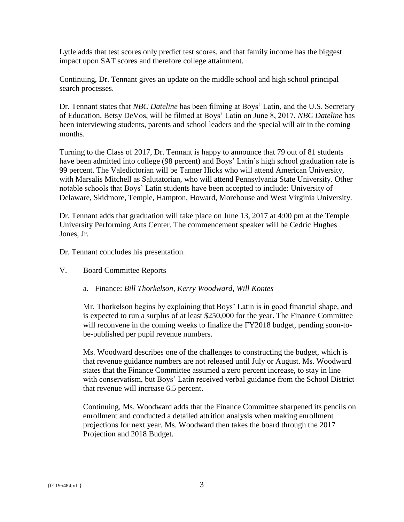Lytle adds that test scores only predict test scores, and that family income has the biggest impact upon SAT scores and therefore college attainment.

Continuing, Dr. Tennant gives an update on the middle school and high school principal search processes.

Dr. Tennant states that *NBC Dateline* has been filming at Boys' Latin, and the U.S. Secretary of Education, Betsy DeVos, will be filmed at Boys' Latin on June 8, 2017. *NBC Dateline* has been interviewing students, parents and school leaders and the special will air in the coming months.

Turning to the Class of 2017, Dr. Tennant is happy to announce that 79 out of 81 students have been admitted into college (98 percent) and Boys' Latin's high school graduation rate is 99 percent. The Valedictorian will be Tanner Hicks who will attend American University, with Marsalis Mitchell as Salutatorian, who will attend Pennsylvania State University. Other notable schools that Boys' Latin students have been accepted to include: University of Delaware, Skidmore, Temple, Hampton, Howard, Morehouse and West Virginia University.

Dr. Tennant adds that graduation will take place on June 13, 2017 at 4:00 pm at the Temple University Performing Arts Center. The commencement speaker will be Cedric Hughes Jones, Jr.

Dr. Tennant concludes his presentation.

# V. Board Committee Reports

a. Finance: *Bill Thorkelson, Kerry Woodward, Will Kontes*

Mr. Thorkelson begins by explaining that Boys' Latin is in good financial shape, and is expected to run a surplus of at least \$250,000 for the year. The Finance Committee will reconvene in the coming weeks to finalize the FY2018 budget, pending soon-tobe-published per pupil revenue numbers.

Ms. Woodward describes one of the challenges to constructing the budget, which is that revenue guidance numbers are not released until July or August. Ms. Woodward states that the Finance Committee assumed a zero percent increase, to stay in line with conservatism, but Boys' Latin received verbal guidance from the School District that revenue will increase 6.5 percent.

Continuing, Ms. Woodward adds that the Finance Committee sharpened its pencils on enrollment and conducted a detailed attrition analysis when making enrollment projections for next year. Ms. Woodward then takes the board through the 2017 Projection and 2018 Budget.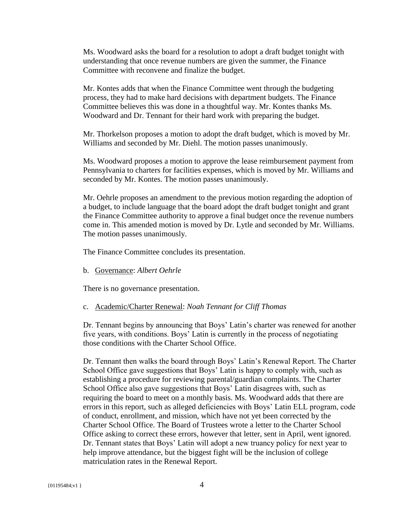Ms. Woodward asks the board for a resolution to adopt a draft budget tonight with understanding that once revenue numbers are given the summer, the Finance Committee with reconvene and finalize the budget.

Mr. Kontes adds that when the Finance Committee went through the budgeting process, they had to make hard decisions with department budgets. The Finance Committee believes this was done in a thoughtful way. Mr. Kontes thanks Ms. Woodward and Dr. Tennant for their hard work with preparing the budget.

Mr. Thorkelson proposes a motion to adopt the draft budget, which is moved by Mr. Williams and seconded by Mr. Diehl. The motion passes unanimously.

Ms. Woodward proposes a motion to approve the lease reimbursement payment from Pennsylvania to charters for facilities expenses, which is moved by Mr. Williams and seconded by Mr. Kontes. The motion passes unanimously.

Mr. Oehrle proposes an amendment to the previous motion regarding the adoption of a budget, to include language that the board adopt the draft budget tonight and grant the Finance Committee authority to approve a final budget once the revenue numbers come in. This amended motion is moved by Dr. Lytle and seconded by Mr. Williams. The motion passes unanimously.

The Finance Committee concludes its presentation.

b. Governance: *Albert Oehrle*

There is no governance presentation.

#### c. Academic/Charter Renewal: *Noah Tennant for Cliff Thomas*

Dr. Tennant begins by announcing that Boys' Latin's charter was renewed for another five years, with conditions. Boys' Latin is currently in the process of negotiating those conditions with the Charter School Office.

Dr. Tennant then walks the board through Boys' Latin's Renewal Report. The Charter School Office gave suggestions that Boys' Latin is happy to comply with, such as establishing a procedure for reviewing parental/guardian complaints. The Charter School Office also gave suggestions that Boys' Latin disagrees with, such as requiring the board to meet on a monthly basis. Ms. Woodward adds that there are errors in this report, such as alleged deficiencies with Boys' Latin ELL program, code of conduct, enrollment, and mission, which have not yet been corrected by the Charter School Office. The Board of Trustees wrote a letter to the Charter School Office asking to correct these errors, however that letter, sent in April, went ignored. Dr. Tennant states that Boys' Latin will adopt a new truancy policy for next year to help improve attendance, but the biggest fight will be the inclusion of college matriculation rates in the Renewal Report.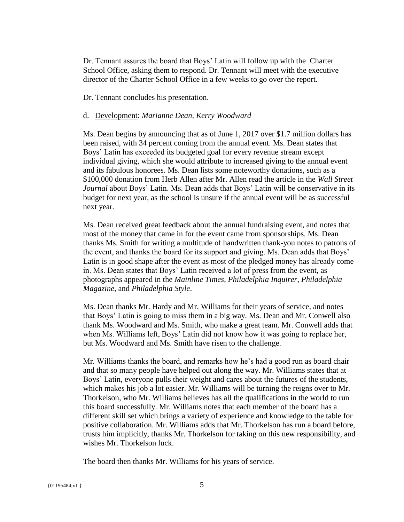Dr. Tennant assures the board that Boys' Latin will follow up with the Charter School Office, asking them to respond. Dr. Tennant will meet with the executive director of the Charter School Office in a few weeks to go over the report.

Dr. Tennant concludes his presentation.

#### d. Development: *Marianne Dean, Kerry Woodward*

Ms. Dean begins by announcing that as of June 1, 2017 over \$1.7 million dollars has been raised, with 34 percent coming from the annual event. Ms. Dean states that Boys' Latin has exceeded its budgeted goal for every revenue stream except individual giving, which she would attribute to increased giving to the annual event and its fabulous honorees. Ms. Dean lists some noteworthy donations, such as a \$100,000 donation from Herb Allen after Mr. Allen read the article in the *Wall Street Journal* about Boys' Latin. Ms. Dean adds that Boys' Latin will be conservative in its budget for next year, as the school is unsure if the annual event will be as successful next year.

Ms. Dean received great feedback about the annual fundraising event, and notes that most of the money that came in for the event came from sponsorships. Ms. Dean thanks Ms. Smith for writing a multitude of handwritten thank-you notes to patrons of the event, and thanks the board for its support and giving. Ms. Dean adds that Boys' Latin is in good shape after the event as most of the pledged money has already come in. Ms. Dean states that Boys' Latin received a lot of press from the event, as photographs appeared in the *Mainline Times*, *Philadelphia Inquirer*, *Philadelphia Magazine*, and *Philadelphia Style*.

Ms. Dean thanks Mr. Hardy and Mr. Williams for their years of service, and notes that Boys' Latin is going to miss them in a big way. Ms. Dean and Mr. Conwell also thank Ms. Woodward and Ms. Smith, who make a great team. Mr. Conwell adds that when Ms. Williams left, Boys' Latin did not know how it was going to replace her, but Ms. Woodward and Ms. Smith have risen to the challenge.

Mr. Williams thanks the board, and remarks how he's had a good run as board chair and that so many people have helped out along the way. Mr. Williams states that at Boys' Latin, everyone pulls their weight and cares about the futures of the students, which makes his job a lot easier. Mr. Williams will be turning the reigns over to Mr. Thorkelson, who Mr. Williams believes has all the qualifications in the world to run this board successfully. Mr. Williams notes that each member of the board has a different skill set which brings a variety of experience and knowledge to the table for positive collaboration. Mr. Williams adds that Mr. Thorkelson has run a board before, trusts him implicitly, thanks Mr. Thorkelson for taking on this new responsibility, and wishes Mr. Thorkelson luck.

The board then thanks Mr. Williams for his years of service.